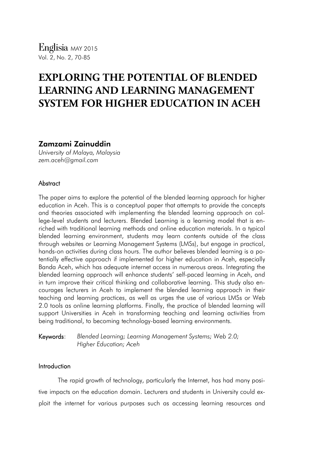# **EXPLORING THE POTENTIAL OF BLENDED LEARNING AND LEARNING MANAGEMENT SYSTEM FOR HIGHER EDUCATION IN ACEH**

## Zamzami Zainuddin

*University of Malaya, Malaysia zem.aceh@gmail.com*

## **Abstract**

The paper aims to explore the potential of the blended learning approach for higher education in Aceh. This is a conceptual paper that attempts to provide the concepts and theories associated with implementing the blended learning approach on college-level students and lecturers. Blended Learning is a learning model that is enriched with traditional learning methods and online education materials. In a typical blended learning environment, students may learn contents outside of the class through websites or Learning Management Systems (LMSs), but engage in practical, hands-on activities during class hours. The author believes blended learning is a potentially effective approach if implemented for higher education in Aceh, especially Banda Aceh, which has adequate internet access in numerous areas. Integrating the blended learning approach will enhance students' self-paced learning in Aceh, and in turn improve their critical thinking and collaborative learning. This study also encourages lecturers in Aceh to implement the blended learning approach in their teaching and learning practices, as well as urges the use of various LMSs or Web 2.0 tools as online learning platforms. Finally, the practice of blended learning will support Universities in Aceh in transforming teaching and learning activities from being traditional, to becoming technology-based learning environments.

Keywords: *Blended Learning; Learning Management Systems; Web 2.0; Higher Education; Aceh*

## Introduction

The rapid growth of technology, particularly the Internet, has had many positive impacts on the education domain. Lecturers and students in University could exploit the internet for various purposes such as accessing learning resources and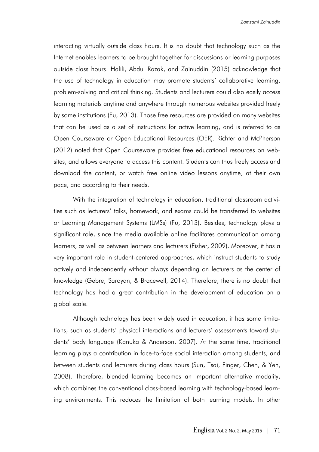interacting virtually outside class hours. It is no doubt that technology such as the Internet enables learners to be brought together for discussions or learning purposes outside class hours. Halili, Abdul Razak, and Zainuddin (2015) acknowledge that the use of technology in education may promote students' collaborative learning, problem-solving and critical thinking. Students and lecturers could also easily access learning materials anytime and anywhere through numerous websites provided freely by some institutions (Fu, 2013). Those free resources are provided on many websites that can be used as a set of instructions for active learning, and is referred to as Open Courseware or Open Educational Resources (OER). Richter and McPherson (2012) noted that Open Courseware provides free educational resources on websites, and allows everyone to access this content. Students can thus freely access and download the content, or watch free online video lessons anytime, at their own pace, and according to their needs.

With the integration of technology in education, traditional classroom activities such as lecturers' talks, homework, and exams could be transferred to websites or Learning Management Systems (LMSs) (Fu, 2013). Besides, technology plays a significant role, since the media available online facilitates communication among learners, as well as between learners and lecturers (Fisher, 2009). Moreover, it has a very important role in student-centered approaches, which instruct students to study actively and independently without always depending on lecturers as the center of knowledge (Gebre, Saroyan, & Bracewell, 2014). Therefore, there is no doubt that technology has had a great contribution in the development of education on a global scale.

Although technology has been widely used in education, it has some limitations, such as students' physical interactions and lecturers' assessments toward students' body language (Kanuka & Anderson, 2007). At the same time, traditional learning plays a contribution in face-to-face social interaction among students, and between students and lecturers during class hours (Sun, Tsai, Finger, Chen, & Yeh, 2008). Therefore, blended learning becomes an important alternative modality, which combines the conventional class-based learning with technology-based learning environments. This reduces the limitation of both learning models. In other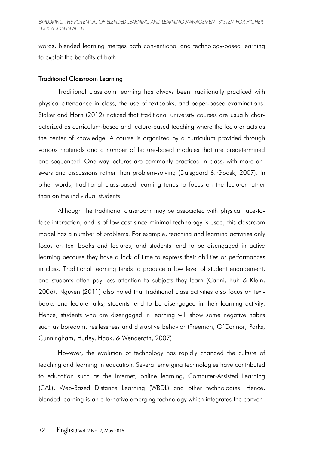words, blended learning merges both conventional and technology-based learning to exploit the benefits of both.

## Traditional Classroom Learning

Traditional classroom learning has always been traditionally practiced with physical attendance in class, the use of textbooks, and paper-based examinations. Staker and Horn (2012) noticed that traditional university courses are usually characterized as curriculum-based and lecture-based teaching where the lecturer acts as the center of knowledge. A course is organized by a curriculum provided through various materials and a number of lecture-based modules that are predetermined and sequenced. One-way lectures are commonly practiced in class, with more answers and discussions rather than problem-solving (Dalsgaard & Godsk, 2007). In other words, traditional class-based learning tends to focus on the lecturer rather than on the individual students.

Although the traditional classroom may be associated with physical face-toface interaction, and is of low cost since minimal technology is used, this classroom model has a number of problems. For example, teaching and learning activities only focus on text books and lectures, and students tend to be disengaged in active learning because they have a lack of time to express their abilities or performances in class. Traditional learning tends to produce a low level of student engagement, and students often pay less attention to subjects they learn (Carini, Kuh & Klein, 2006). Nguyen (2011) also noted that traditional class activities also focus on textbooks and lecture talks; students tend to be disengaged in their learning activity. Hence, students who are disengaged in learning will show some negative habits such as boredom, restlessness and disruptive behavior (Freeman, O'Connor, Parks, Cunningham, Hurley, Haak, & Wenderoth, 2007).

However, the evolution of technology has rapidly changed the culture of teaching and learning in education. Several emerging technologies have contributed to education such as the Internet, online learning, Computer-Assisted Learning (CAL), Web-Based Distance Learning (WBDL) and other technologies. Hence, blended learning is an alternative emerging technology which integrates the conven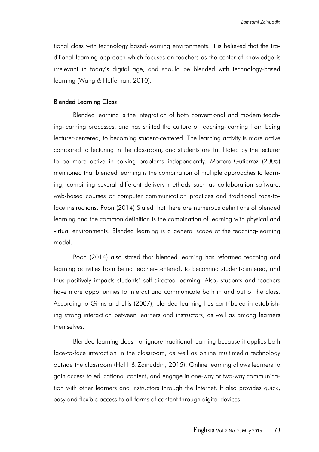tional class with technology based-learning environments. It is believed that the traditional learning approach which focuses on teachers as the center of knowledge is irrelevant in today's digital age, and should be blended with technology-based learning (Wang & Heffernan, 2010).

## Blended Learning Class

Blended learning is the integration of both conventional and modern teaching-learning processes, and has shifted the culture of teaching-learning from being lecturer-centered, to becoming student-centered. The learning activity is more active compared to lecturing in the classroom, and students are facilitated by the lecturer to be more active in solving problems independently. Mortera-Gutierrez (2005) mentioned that blended learning is the combination of multiple approaches to learning, combining several different delivery methods such as collaboration software, web-based courses or computer communication practices and traditional face-toface instructions. Poon (2014) Stated that there are numerous definitions of blended learning and the common definition is the combination of learning with physical and virtual environments. Blended learning is a general scope of the teaching-learning model.

Poon (2014) also stated that blended learning has reformed teaching and learning activities from being teacher-centered, to becoming student-centered, and thus positively impacts students' self-directed learning. Also, students and teachers have more opportunities to interact and communicate both in and out of the class. According to Ginns and Ellis (2007), blended learning has contributed in establishing strong interaction between learners and instructors, as well as among learners themselves.

Blended learning does not ignore traditional learning because it applies both face-to-face interaction in the classroom, as well as online multimedia technology outside the classroom (Halili & Zainuddin, 2015). Online learning allows learners to gain access to educational content, and engage in one-way or two-way communication with other learners and instructors through the Internet. It also provides quick, easy and flexible access to all forms of content through digital devices.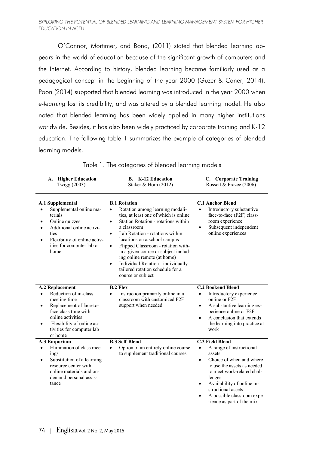O'Connor, Mortimer, and Bond, (2011) stated that blended learning appears in the world of education because of the significant growth of computers and the Internet. According to history, blended learning became familiarly used as a pedagogical concept in the beginning of the year 2000 (Guzer & Caner, 2014). Poon (2014) supported that blended learning was introduced in the year 2000 when *e-learning* lost its credibility, and was altered by a blended learning model. He also noted that blended learning has been widely applied in many higher institutions worldwide. Besides, it has also been widely practiced by corporate training and K-12 education. The following table 1 summarizes the example of categories of blended learning models.

| <b>Higher Education</b><br>A.<br>Twigg (2003)                                                                                                                                                                                  | <b>B.</b> K-12 Education<br>Staker & Horn $(2012)$                                                                                                                                                                                                                                                                                                                                                                                                                          | C. Corporate Training<br>Rossett & Frazee (2006)                                                                                                                                                                                                                                                         |
|--------------------------------------------------------------------------------------------------------------------------------------------------------------------------------------------------------------------------------|-----------------------------------------------------------------------------------------------------------------------------------------------------------------------------------------------------------------------------------------------------------------------------------------------------------------------------------------------------------------------------------------------------------------------------------------------------------------------------|----------------------------------------------------------------------------------------------------------------------------------------------------------------------------------------------------------------------------------------------------------------------------------------------------------|
| <b>A.1 Supplemental</b><br>Supplemental online ma-<br>terials<br>Online quizzes<br>Additional online activi-<br>ties<br>Flexibility of online activ-<br>ities for computer lab or<br>home                                      | <b>B.1 Rotation</b><br>Rotation among learning modali-<br>ties, at least one of which is online<br>Station Rotation - rotations within<br>a classroom<br>Lab Rotation - rotations within<br>$\bullet$<br>locations on a school campus<br>Flipped Classroom - rotation with-<br>$\bullet$<br>in a given course or subject includ-<br>ing online remote (at home)<br>Individual Rotation - individually<br>$\bullet$<br>tailored rotation schedule for a<br>course or subject | <b>C.1 Anchor Blend</b><br>Introductory substantive<br>face-to-face (F2F) class-<br>room experience<br>Subsequent independent<br>$\bullet$<br>online experiences                                                                                                                                         |
| <b>A.2 Replacement</b><br>Reduction of in-class<br>meeting time<br>Replacement of face-to-<br>$\bullet$<br>face class time with<br>online activities<br>Flexibility of online ac-<br>٠<br>tivities for computer lab<br>or home | <b>B.2 Flex</b><br>Instruction primarily online in a<br>classroom with customized F2F<br>support when needed                                                                                                                                                                                                                                                                                                                                                                | <b>C.2 Bookend Blend</b><br>Introductory experience<br>online or F2F<br>A substantive learning ex-<br>$\bullet$<br>perience online or F2F<br>A conclusion that extends<br>the learning into practice at<br>work                                                                                          |
| A.3 Emporium<br>Elimination of class meet-<br>$\bullet$<br>ings<br>Substitution of a learning<br>$\bullet$<br>resource center with<br>online materials and on-<br>demand personal assis-<br>tance                              | <b>B.3 Self-Blend</b><br>Option of an entirely online course<br>$\bullet$<br>to supplement traditional courses                                                                                                                                                                                                                                                                                                                                                              | <b>C.3 Field Blend</b><br>A range of instructional<br>$\bullet$<br>assets<br>Choice of when and where<br>$\bullet$<br>to use the assets as needed<br>to meet work-related chal-<br>lenges<br>Availability of online in-<br>structional assets<br>A possible classroom expe-<br>rience as part of the mix |

Table 1. The categories of blended learning models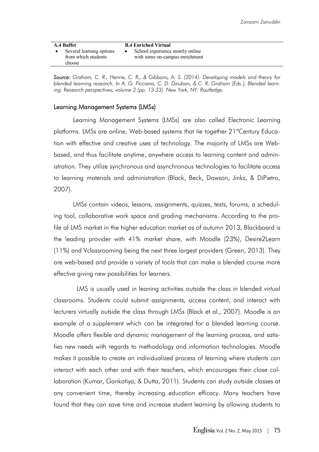| A.4 Buffet                                                | <b>B.4 Enriched Virtual</b>                                       |
|-----------------------------------------------------------|-------------------------------------------------------------------|
| Several learning options<br>from which students<br>choose | School experience mostly online<br>with some on-campus enrichment |

*Source: Graham, C. R., Henrie, C. R., & Gibbons, A. S. (2014). Developing models and theory for blended learning research. In A. G. Picciano, C. D. Dziuban, & C. R. Graham (Eds.), Blended learning: Research perspectives, volume 2 (pp. 13-33). New York, NY: Routledge.*

#### Learning Management Systems (LMSs)

Learning Management Systems (LMSs) are also called Electronic Learning platforms. LMSs are online, Web-based systems that tie together 21<sup>st</sup>Century Education with effective and creative uses of technology. The majority of LMSs are Webbased, and thus facilitate anytime, anywhere access to learning content and administration. They utilize synchronous and asynchronous technologies to facilitate access to learning materials and administration (Black, Beck, Dawson, Jinks, & DiPietro, 2007).

LMSs contain videos, lessons, assignments, quizzes, tests, forums, a scheduling tool, collaborative work space and grading mechanisms. According to the profile of LMS market in the higher education market as of autumn 2013, Blackboard is the leading provider with 41% market share, with Moodle (23%), Desire2Learn (11%) and Vclassrooming being the next three largest providers (Green, 2013). They are web-based and provide a variety of tools that can make a blended course more effective giving new possibilities for learners.

 LMS is usually used in leaning activities outside the class in blended virtual classrooms. Students could submit assignments, access content, and interact with lecturers virtually outside the class through LMSs (Black et al., 2007). Moodle is an example of a supplement which can be integrated for a blended learning course. Moodle offers flexible and dynamic management of the learning process, and satisfies new needs with regards to methodology and information technologies. Moodle makes it possible to create an individualized process of learning where students can interact with each other and with their teachers, which encourages their close collaboration (Kumar, Gankotiya, & Dutta, 2011). Students can study outside classes at any convenient time, thereby increasing education efficacy. Many teachers have found that they can save time and increase student learning by allowing students to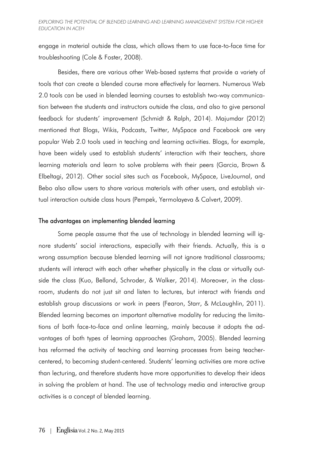engage in material outside the class, which allows them to use face-to-face time for troubleshooting (Cole & Foster, 2008).

Besides, there are various other Web-based systems that provide a variety of tools that can create a blended course more effectively for learners. Numerous Web 2.0 tools can be used in blended learning courses to establish two-way communication between the students and instructors outside the class, and also to give personal feedback for students' improvement (Schmidt & Ralph, 2014). Majumdar (2012) mentioned that Blogs, Wikis, Podcasts, Twitter, MySpace and Facebook are very popular Web 2.0 tools used in teaching and learning activities. Blogs, for example, have been widely used to establish students' interaction with their teachers, share learning materials and learn to solve problems with their peers (Garcia, Brown & Elbeltagi, 2012). Other social sites such as Facebook, MySpace, LiveJournal, and Bebo also allow users to share various materials with other users, and establish virtual interaction outside class hours (Pempek, Yermolayeva & Calvert, 2009).

#### The advantages on implementing blended learning

Some people assume that the use of technology in blended learning will ignore students' social interactions, especially with their friends. Actually, this is a wrong assumption because blended learning will not ignore traditional classrooms; students will interact with each other whether physically in the class or virtually outside the class (Kuo, Belland, Schroder, & Walker, 2014). Moreover, in the classroom, students do not just sit and listen to lectures, but interact with friends and establish group discussions or work in peers (Fearon, Starr, & McLaughlin, 2011). Blended learning becomes an important alternative modality for reducing the limitations of both face-to-face and online learning, mainly because it adopts the advantages of both types of learning approaches (Graham, 2005). Blended learning has reformed the activity of teaching and learning processes from being teachercentered, to becoming student-centered. Students' learning activities are more active than lecturing, and therefore students have more opportunities to develop their ideas in solving the problem at hand. The use of technology media and interactive group activities is a concept of blended learning.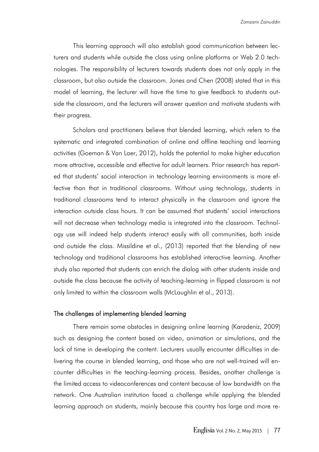This learning approach will also establish good communication between lecturers and students while outside the class using online platforms or Web 2.0 technologies. The responsibility of lecturers towards students does not only apply in the classroom, but also outside the classroom. Jones and Chen (2008) stated that in this model of learning, the lecturer will have the time to give feedback to students outside the classroom, and the lecturers will answer question and motivate students with their progress.

Scholars and practitioners believe that blended learning, which refers to the systematic and integrated combination of online and offline teaching and learning activities (Goeman & Van Laer, 2012), holds the potential to make higher education more attractive, accessible and effective for adult learners. Prior research has reported that students' social interaction in technology learning environments is more effective than that in traditional classrooms. Without using technology, students in traditional classrooms tend to interact physically in the classroom and ignore the interaction outside class hours. It can be assumed that students' social interactions will not decrease when technology media is integrated into the classroom. Technology use will indeed help students interact easily with all communities, both inside and outside the class. Missildine et al., (2013) reported that the blending of new technology and traditional classrooms has established interactive learning. Another study also reported that students can enrich the dialog with other students inside and outside the class because the activity of teaching-learning in flipped classroom is not only limited to within the classroom walls (McLaughlin et al., 2013).

#### The challenges of implementing blended learning

There remain some obstacles in designing online learning (Karadeniz, 2009) such as designing the content based on video, animation or simulations, and the lack of time in developing the content. Lecturers usually encounter difficulties in delivering the course in blended learning, and those who are not well-trained will encounter difficulties in the teaching-learning process. Besides, another challenge is the limited access to videoconferences and content because of low bandwidth on the network. One Australian institution faced a challenge while applying the blended learning approach on students, mainly because this country has large and more re-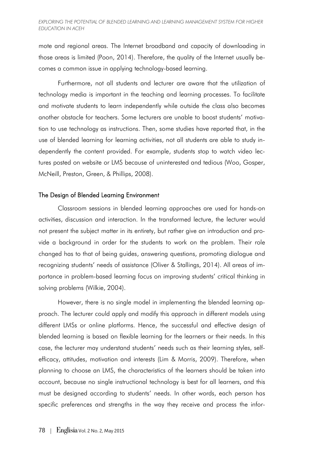#### **EXPLORING THE POTENTIAL OF BLENDED LEARNING AND LEARNING MANAGEMENT SYSTEM FOR HIGHER** *EDUCATION IN ACEH*

mote and regional areas. The Internet broadband and capacity of downloading in those areas is limited (Poon, 2014). Therefore, the quality of the Internet usually becomes a common issue in applying technology-based learning.

Furthermore, not all students and lecturer are aware that the utilization of technology media is important in the teaching and learning processes. To facilitate and motivate students to learn independently while outside the class also becomes another obstacle for teachers. Some lecturers are unable to boost students' motivation to use technology as instructions. Then, some studies have reported that, in the use of blended learning for learning activities, not all students are able to study independently the content provided. For example, students stop to watch video lectures posted on website or LMS because of uninterested and tedious (Woo, Gosper, McNeill, Preston, Green, & Phillips, 2008).

### The Design of Blended Learning Environment

Classroom sessions in blended learning approaches are used for hands-on activities, discussion and interaction. In the transformed lecture, the lecturer would not present the subject matter in its entirety, but rather give an introduction and provide a background in order for the students to work on the problem. Their role changed has to that of being guides, answering questions, promoting dialogue and recognizing students' needs of assistance (Oliver & Stallings, 2014). All areas of importance in problem-based learning focus on improving students' critical thinking in solving problems (Wilkie, 2004).

However, there is no single model in implementing the blended learning approach. The lecturer could apply and modify this approach in different models using different LMSs or online platforms. Hence, the successful and effective design of blended learning is based on flexible learning for the learners or their needs. In this case, the lecturer may understand students' needs such as their learning styles, selfefficacy, attitudes, motivation and interests (Lim & Morris, 2009). Therefore, when planning to choose an LMS, the characteristics of the learners should be taken into account, because no single instructional technology is best for all learners, and this must be designed according to students' needs. In other words, each person has specific preferences and strengths in the way they receive and process the infor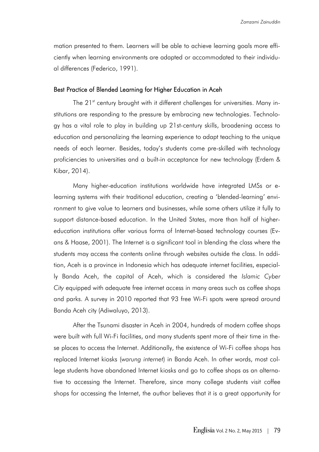mation presented to them. Learners will be able to achieve learning goals more efficiently when learning environments are adapted or accommodated to their individual differences (Federico, 1991).

#### Best Practice of Blended Learning for Higher Education in Aceh

The 21<sup>st</sup> century brought with it different challenges for universities. Many institutions are responding to the pressure by embracing new technologies. Technology has a vital role to play in building up 21st-century skills, broadening access to education and personalizing the learning experience to adapt teaching to the unique needs of each learner. Besides, today's students come pre-skilled with technology proficiencies to universities and a built-in acceptance for new technology (Erdem & Kibar, 2014).

Many higher-education institutions worldwide have integrated LMSs or elearning systems with their traditional education, creating a 'blended-learning' environment to give value to learners and businesses, while some others utilize it fully to support distance-based education. In the United States, more than half of highereducation institutions offer various forms of Internet-based technology courses (Evans & Haase, 2001). The Internet is a significant tool in blending the class where the students may access the contents online through websites outside the class. In addition, Aceh is a province in Indonesia which has adequate internet facilities, especially Banda Aceh, the capital of Aceh, which is considered the *Islamic Cyber City* equipped with adequate free internet access in many areas such as coffee shops and parks. A survey in 2010 reported that 93 free Wi-Fi spots were spread around Banda Aceh city (Adiwaluyo, 2013).

After the Tsunami disaster in Aceh in 2004, hundreds of modern coffee shops were built with full Wi-Fi facilities, and many students spent more of their time in these places to access the Internet. Additionally, the existence of Wi-Fi coffee shops has replaced Internet kiosks (*warung internet*) in Banda Aceh. In other words, most college students have abandoned Internet kiosks and go to coffee shops as an alternative to accessing the Internet. Therefore, since many college students visit coffee shops for accessing the Internet, the author believes that it is a great opportunity for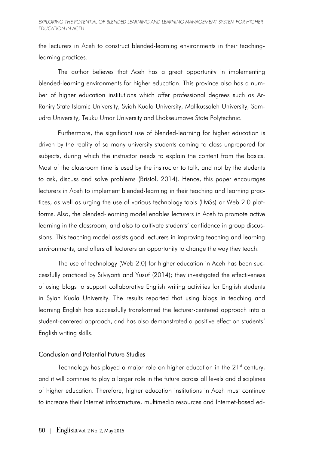the lecturers in Aceh to construct blended-learning environments in their teachinglearning practices.

The author believes that Aceh has a great opportunity in implementing blended-learning environments for higher education. This province also has a number of higher education institutions which offer professional degrees such as Ar-Raniry State Islamic University, Syiah Kuala University, Malikussaleh University, Samudra University, Teuku Umar University and Lhokseumawe State Polytechnic.

Furthermore, the significant use of blended-learning for higher education is driven by the reality of so many university students coming to class unprepared for subjects, during which the instructor needs to explain the content from the basics. Most of the classroom time is used by the instructor to talk, and not by the students to ask, discuss and solve problems (Bristol, 2014). Hence, this paper encourages lecturers in Aceh to implement blended-learning in their teaching and learning practices, as well as urging the use of various technology tools (LMSs) or Web 2.0 platforms. Also, the blended-learning model enables lecturers in Aceh to promote active learning in the classroom, and also to cultivate students' confidence in group discussions. This teaching model assists good lecturers in improving teaching and learning environments, and offers all lecturers an opportunity to change the way they teach.

The use of technology (Web 2.0) for higher education in Aceh has been successfully practiced by Silviyanti and Yusuf (2014); they investigated the effectiveness of using blogs to support collaborative English writing activities for English students in Syiah Kuala University. The results reported that using blogs in teaching and learning English has successfully transformed the lecturer-centered approach into a student-centered approach, and has also demonstrated a positive effect on students' English writing skills.

#### Conclusion and Potential Future Studies

Technology has played a major role on higher education in the 21<sup>st</sup> century, and it will continue to play a larger role in the future across all levels and disciplines of higher education. Therefore, higher education institutions in Aceh must continue to increase their Internet infrastructure, multimedia resources and Internet-based ed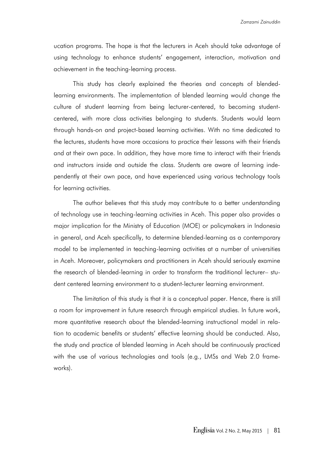ucation programs. The hope is that the lecturers in Aceh should take advantage of using technology to enhance students' engagement, interaction, motivation and achievement in the teaching-learning process.

This study has clearly explained the theories and concepts of blendedlearning environments. The implementation of blended learning would change the culture of student learning from being lecturer-centered, to becoming studentcentered, with more class activities belonging to students. Students would learn through hands-on and project-based learning activities. With no time dedicated to the lectures, students have more occasions to practice their lessons with their friends and at their own pace. In addition, they have more time to interact with their friends and instructors inside and outside the class. Students are aware of learning independently at their own pace, and have experienced using various technology tools for learning activities.

The author believes that this study may contribute to a better understanding of technology use in teaching-learning activities in Aceh. This paper also provides a major implication for the Ministry of Education (MOE) or policymakers in Indonesia in general, and Aceh specifically, to determine blended-learning as a contemporary model to be implemented in teaching-learning activities at a number of universities in Aceh. Moreover, policymakers and practitioners in Aceh should seriously examine the research of blended-learning in order to transform the traditional lecturer– student centered learning environment to a student-lecturer learning environment.

The limitation of this study is that it is a conceptual paper. Hence, there is still a room for improvement in future research through empirical studies. In future work, more quantitative research about the blended-learning instructional model in relation to academic benefits or students' effective learning should be conducted. Also, the study and practice of blended learning in Aceh should be continuously practiced with the use of various technologies and tools (e.g., LMSs and Web 2.0 frameworks).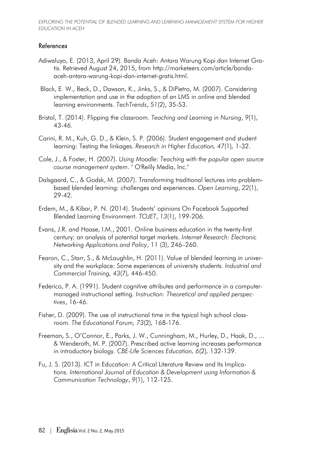## References

- Adiwaluyo, E. (2013, April 29). Banda Aceh: Antara Warung Kopi dan Internet Gratis. Retrieved August 24, 2015, from http://marketeers.com/article/bandaaceh-antara-warung-kopi-dan-internet-gratis.html.
- Black, E. W., Beck, D., Dawson, K., Jinks, S., & DiPietro, M. (2007). Considering implementation and use in the adoption of an LMS in online and blended learning environments. *TechTrends*, *51*(2), 35-53.
- Bristol, T. (2014). Flipping the classroom. *Teaching and Learning in Nursing*, *9*(1), 43-46.
- Carini, R. M., Kuh, G. D., & Klein, S. P. (2006). Student engagement and student learning: Testing the linkages. *Research in Higher Education, 47*(1)*,* 1-32.
- Cole, J., & Foster, H. (2007). *Using Moodle: Teaching with the popular open source course management system*. " O'Reilly Media, Inc."
- Dalsgaard, C., & Godsk, M. (2007). Transforming traditional lectures into problem‐ based blended learning: challenges and experiences. *Open Learning*, *22*(1), 29-42.
- Erdem, M., & Kibar, P. N. (2014). Students' opinions On Facebook Supported Blended Learning Environment. *TOJET*, *13*(1), 199-206.
- Evans, J.R. and Haase, I.M., 2001. Online business education in the twenty-first century: an analysis of potential target markets. *Internet Research: Electronic Networking Applications and Policy*, 11 (3), 246–260.
- Fearon, C., Starr, S., & McLaughlin, H. (2011). Value of blended learning in university and the workplace: Some experiences of university students. *Industrial and Commercial Training, 43*(7)*,* 446-450.
- Federico, P. A. (1991). Student cognitive attributes and performance in a computermanaged instructional setting. *Instruction: Theoretical and applied perspectives*, 16-46.
- Fisher, D. (2009). The use of instructional time in the typical high school classroom. *The Educational Forum, 73*(2)*,* 168-176.
- Freeman, S., O'Connor, E., Parks, J. W., Cunningham, M., Hurley, D., Haak, D., ... & Wenderoth, M. P. (2007). Prescribed active learning increases performance in introductory biology. *CBE-Life Sciences Education, 6*(2)*,* 132-139.
- Fu, J. S. (2013). ICT in Education: A Critical Literature Review and Its Implications. *International Journal of Education & Development using Information & Communication Technology*, *9*(1), 112-125.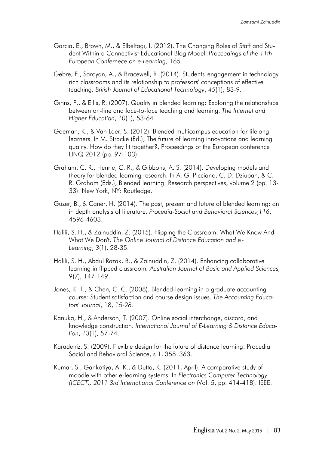- Garcia, E., Brown, M., & Elbeltagi, I. (2012). The Changing Roles of Staff and Student Within a Connectivist Educational Blog Model. *Proceedings of the 11th European Confernece on e-Learning*, 165.
- Gebre, E., Saroyan, A., & Bracewell, R. (2014). Students' engagement in technology rich classrooms and its relationship to professors' conceptions of effective teaching. *British Journal of Educational Technology*, *45*(1), 83-9.
- Ginns, P., & Ellis, R. (2007). Quality in blended learning: Exploring the relationships between on-line and face-to-face teaching and learning. *The Internet and Higher Education*, *10*(1), 53-64.
- Goeman, K., & Van Laer, S. (2012). Blended multicampus education for lifelong learners. In M. Stracke (Ed.), The future of learning innovations and learning quality. How do they fit together?, Proceedings of the European conference LINQ 2012 (pp. 97-103).
- Graham, C. R., Henrie, C. R., & Gibbons, A. S. (2014). Developing models and theory for blended learning research. In A. G. Picciano, C. D. Dziuban, & C. R. Graham (Eds.), Blended learning: Research perspectives, volume 2 (pp. 13- 33). New York, NY: Routledge.
- Güzer, B., & Caner, H. (2014). The past, present and future of blended learning: an in depth analysis of literature. *Procedia-Social and Behavioral Sciences*,*116*, 4596-4603.
- Halili, S. H., & Zainuddin, Z. (2015). Flipping the Classroom: What We Know And What We Don't. The Online Journal of Distance Education and e-*Learning*, *3*(1), 28-35.
- Halili, S. H., Abdul Razak, R., & Zainuddin, Z. (2014). Enhancing collaborative learning in flipped classroom*. Australian Journal of Basic and Applied Sciences,* 9(7), 147-149.
- Jones, K. T., & Chen, C. C. (2008). Blended-learning in a graduate accounting course: Student satisfaction and course design issues. *The Accounting Educators' Journal*, 18, *15-28.*
- Kanuka, H., & Anderson, T. (2007). Online social interchange, discord, and knowledge construction. *International Journal of E-Learning & Distance Education*, *13*(1), 57-74.
- Karadeniz, Ş. (2009). Flexible design for the future of distance learning. Procedia Social and Behavioral Science, s 1, 358–363.
- Kumar, S., Gankotiya, A. K., & Dutta, K. (2011, April). A comparative study of moodle with other e-learning systems. In *Electronics Computer Technology (ICECT), 2011 3rd International Conference on* (Vol. 5, pp. 414-418). IEEE.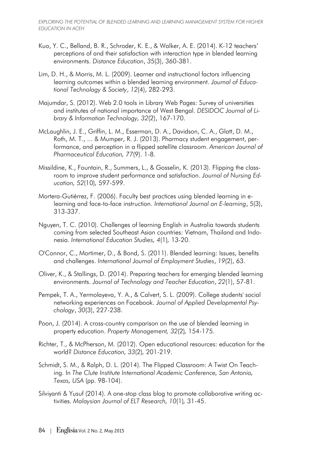- Kuo, Y. C., Belland, B. R., Schroder, K. E., & Walker, A. E. (2014). K-12 teachers' perceptions of and their satisfaction with interaction type in blended learning environments. *Distance Education*, *35*(3), 360-381.
- Lim, D. H., & Morris, M. L. (2009). Learner and instructional factors influencing learning outcomes within a blended learning environment. *Journal of Educational Technology & Society*, *12*(4), 282-293.
- Majumdar, S. (2012). Web 2.0 tools in Library Web Pages: Survey of universities and institutes of national importance of West Bengal. *DESIDOC Journal of Library & Information Technology, 32*(2), 167-170.
- McLaughlin, J. E., Griffin, L. M., Esserman, D. A., Davidson, C. A., Glatt, D. M., Roth, M. T., ... & Mumper, R. J. (2013). Pharmacy student engagement, performance, and perception in a flipped satellite classroom. *American Journal of Pharmaceutical Education, 77*(9). 1-8.
- Missildine, K., Fountain, R., Summers, L., & Gosselin, K. (2013). Flipping the classroom to improve student performance and satisfaction. *Journal of Nursing Education, 52*(10)*,* 597-599.
- Mortera-Gutiérrez, F. (2006). Faculty best practices using blended learning in elearning and face-to-face instruction. *International Journal on E-learning*, *5*(3), 313-337.
- Nguyen, T. C. (2010). Challenges of learning English in Australia towards students coming from selected Southeast Asian countries: Vietnam, Thailand and Indonesia. *International Education Studies, 4*(1)*,* 13-20.
- O'Connor, C., Mortimer, D., & Bond, S. (2011). Blended learning: Issues, benefits and challenges. *International Journal of Employment Studies*, *19*(2), 63.
- Oliver, K., & Stallings, D. (2014). Preparing teachers for emerging blended learning environments. *Journal of Technology and Teacher Education*, *22*(1), 57-81.
- Pempek, T. A., Yermolayeva, Y. A., & Calvert, S. L. (2009). College students' social networking experiences on Facebook. *Journal of Applied Developmental Psychology*, *30*(3), 227-238.
- Poon, J. (2014). A cross-country comparison on the use of blended learning in property education. *Property Management, 32*(2)*,* 154-175.
- Richter, T., & McPherson, M. (2012). Open educational resources: education for the world? *Distance Education, 33*(2)*,* 201-219.
- Schmidt, S. M., & Ralph, D. L. (2014). The Flipped Classroom: A Twist On Teaching. In *The Clute Institute International Academic Conference, San Antonio, Texas, USA* (pp. 98-104).
- Silviyanti & Yusuf (2014). A one-stop class blog to promote collaborative writing activities. *Malaysian Journal of ELT Research, 10*(1)*,* 31-45.